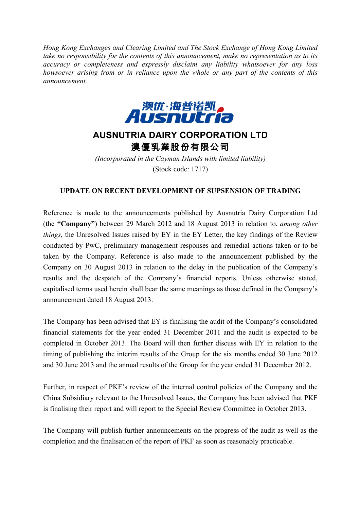*Hong Kong Exchanges and Clearing Limited and The Stock Exchange of Hong Kong Limited take no responsibility for the contents of this announcement, make no representation as to its accuracy or completeness and expressly disclaim any liability whatsoever for any loss howsoever arising from or in reliance upon the whole or any part of the contents of this announcement.*



## **AUSNUTRIA DAIRY CORPORATION LTD** 澳優乳業股份有限公司

*(Incorporated in the Cayman Islands with limited liability)* (Stock code: 1717)

## **UPDATE ON RECENT DEVELOPMENT OF SUPSENSION OF TRADING**

Reference is made to the announcements published by Ausnutria Dairy Corporation Ltd (the **"Company"**) between 29 March 2012 and 18 August 2013 in relation to, *among other things,* the Unresolved Issues raised by EY in the EY Letter, the key findings of the Review conducted by PwC, preliminary management responses and remedial actions taken or to be taken by the Company. Reference is also made to the announcement published by the Company on 30 August 2013 in relation to the delay in the publication of the Company's results and the despatch of the Company's financial reports. Unless otherwise stated, capitalised terms used herein shall bear the same meanings as those defined in the Company's announcement dated 18 August 2013.

The Company has been advised that EY is finalising the audit of the Company's consolidated financial statements for the year ended 31 December 2011 and the audit is expected to be completed in October 2013. The Board will then further discuss with EY in relation to the timing of publishing the interim results of the Group for the six months ended 30 June 2012 and 30 June 2013 and the annual results of the Group for the year ended 31 December 2012.

Further, in respect of PKF's review of the internal control policies of the Company and the China Subsidiary relevant to the Unresolved Issues, the Company has been advised that PKF is finalising their report and will report to the Special Review Committee in October 2013.

The Company will publish further announcements on the progress of the audit as well as the completion and the finalisation of the report of PKF as soon as reasonably practicable.